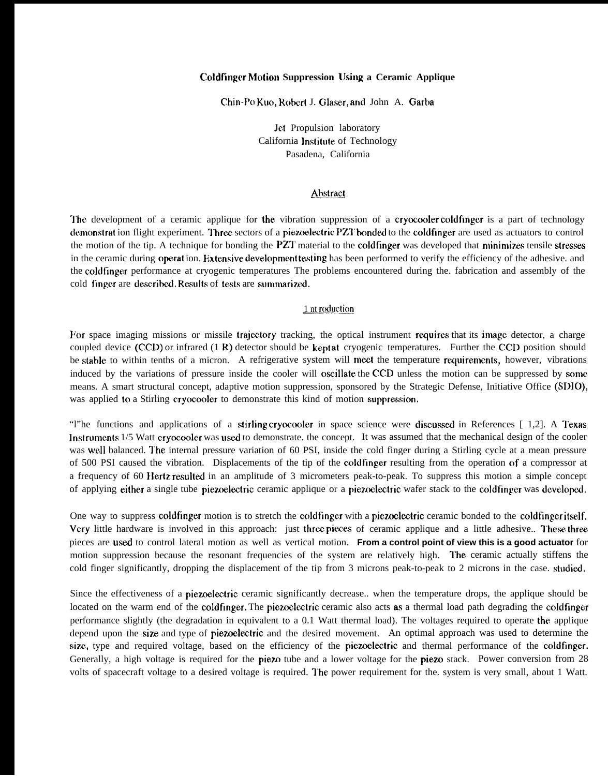# **Coldfinger Motion Suppression Using a Ceramic Applique**

Chin-Po Kuo, Robert J. Glaser, and John A. Garba

Jet Propulsion laboratory California Institute of Technology Pasadena, California

# Abstract

The development of a ceramic applique for the vibration suppression of a cryocooler coldfinger is a part of technology demonstrat ion flight experiment. Three sectors of a piezoelectric PZT bonded to the coldfinger are used as actuators to control the motion of the tip. A technique for bonding the PZT material to the coldfinger was developed that minimizes tensile stresses in the ceramic during operation. Extensive development testing has been performed to verify the efficiency of the adhesive. and the coldfinger performance at cryogenic temperatures The problems encountered during the. fabrication and assembly of the cold finger are described. Results of tests are summarized.

# 1 nt roduction

For space imaging missions or missile trajectory tracking, the optical instrument requires that its image detector, a charge coupled device (CCD) or infrared (1 R) detector should be kept at cryogenic temperatures. Further the CCD position should be stable to within tenths of a micron. A refrigerative system will meet the temperature requirements, however, vibrations induced by the variations of pressure inside the cooler will oscillate the CCD unless the motion can be suppressed by some means. A smart structural concept, adaptive motion suppression, sponsored by the Strategic Defense, Initiative Office (SDIO), was applied to a Stirling cryocooler to demonstrate this kind of motion suppression.

"I'he functions and applications of a stirling cryocooler in space science were discussed in References [1,2]. A Texas Instruments 1/5 Watt cryocooler was used to demonstrate, the concept. It was assumed that the mechanical design of the cooler was well balanced. The internal pressure variation of 60 PSI, inside the cold finger during a Stirling cycle at a mean pressure of 500 PSI caused the vibration. Displacements of the tip of the coldfinger resulting from the operation of a compressor at a frequency of 60 Hertz resulted in an amplitude of 3 micrometers peak-to-peak. To suppress this motion a simple concept of applying either a single tube piezoelectric ceramic applique or a piezoelectric wafer stack to the coldfinger was developed.

One way to suppress coldfinger motion is to stretch the coldfinger with a piezoelectric ceramic bonded to the coldfinger itself. Very little hardware is involved in this approach: just three pieces of ceramic applique and a little adhesive.. These three pieces are used to control lateral motion as well as vertical motion. From a control point of view this is a good actuator for motion suppression because the resonant frequencies of the system are relatively high. The ceramic actually stiffens the cold finger significantly, dropping the displacement of the tip from 3 microns peak-to-peak to 2 microns in the case. studied.

Since the effectiveness of a piezoelectric ceramic significantly decrease.. when the temperature drops, the applique should be located on the warm end of the coldfinger. The piezoelectric ceramic also acts as a thermal load path degrading the coldfinger performance slightly (the degradation in equivalent to a 0.1 Watt thermal load). The voltages required to operate the applique depend upon the size and type of piezoelectric and the desired movement. An optimal approach was used to determine the size, type and required voltage, based on the efficiency of the piezoelectric and thermal performance of the coldfinger. Generally, a high voltage is required for the **piezo** tube and a lower voltage for the **piezo** stack. Power conversion from 28 volts of spacecraft voltage to a desired voltage is required. The power requirement for the system is very small, about 1 Watt.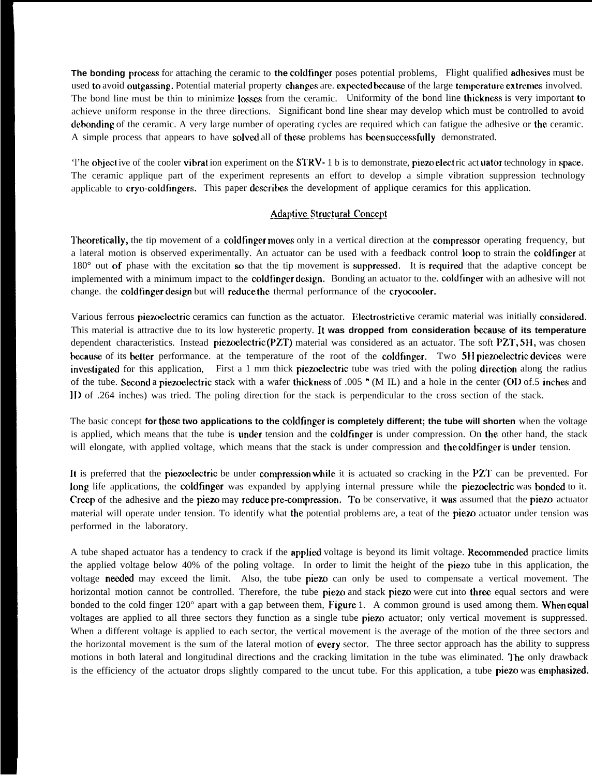The bonding process for attaching the ceramic to the coldfinger poses potential problems, Flight qualified adhesives must be used to avoid outgassing. Potential material property changes are. expected because of the large temperature extremes involved. The bond line must be thin to minimize losses from the ceramic. Uniformity of the bond line thickness is very important to achieve uniform response in the three directions. Significant bond line shear may develop which must be controlled to avoid debonding of the ceramic. A very large number of operating cycles are required which can fatigue the adhesive or the ceramic. A simple process that appears to have solved all of these problems has been successfully demonstrated.

'l'he object ive of the cooler vibrat ion experiment on the STRV- 1 b is to demonstrate, piezo elect ric act uator technology in space. The ceramic applique part of the experiment represents an effort to develop a simple vibration suppression technology applicable to cryo-coldfingers. This paper describes the development of applique ceramics for this application.

# **Adaptive Structural Concept**

Theoretically, the tip movement of a coldfinger moves only in a vertical direction at the compressor operating frequency, but a lateral motion is observed experimentally. An actuator can be used with a feedback control loop to strain the coldfinger at 180° out of phase with the excitation so that the tip movement is suppressed. It is required that the adaptive concept be implemented with a minimum impact to the coldfinger design. Bonding an actuator to the. coldfinger with an adhesive will not change. the coldfinger design but will reduce the thermal performance of the cryocooler.

Various ferrous piezoelectric ceramics can function as the actuator. Electrostrictive ceramic material was initially considered. This material is attractive due to its low hysteretic property. It **was dropped from consideration hccause of its temperature** dependent characteristics. Instead piezoelectric (PZT) material was considered as an actuator. The soft PZT, 5H, was chosen because of its better performance. at the temperature of the root of the coldfinger. Two 5H piezoelectric devices were investigated for this application, First a 1 mm thick piezoelectric tube was tried with the poling direction along the radius of the tube. Second a piezoelectric stack with a wafer thickness of .005 " (M IL) and a hole in the center (OD of 5 inches and 11) of .264 inches) was tried. The poling direction for the stack is perpendicular to the cross section of the stack.

The basic concept **for these two applications to the coldfinger is completely different; the tube will shorten** when the voltage is applied, which means that the tube is under tension and the coldfinger is under compression. On the other hand, the stack will elongate, with applied voltage, which means that the stack is under compression and the coldfinger is under tension.

It is preferred that the piezoelectric be under compression while it is actuated so cracking in the PZT can be prevented. For long life applications, the coldfinger was expanded by applying internal pressure while the piezoelectric was bonded to it. Creep of the adhesive and the piezo may reduce pre-compression. To be conservative, it was assumed that the piezo actuator material will operate under tension. To identify what the potential problems are, a teat of the piezo actuator under tension was performed in the laboratory.

A tube shaped actuator has a tendency to crack if the applied voltage is beyond its limit voltage. Recommended practice limits the applied voltage below 40% of the poling voltage. In order to limit the height of the piezo tube in this application, the voltage needed may exceed the limit. Also, the tube piezo can only be used to compensate a vertical movement. The horizontal motion cannot be controlled. Therefore, the tube piezo and stack piezo were cut into three equal sectors and were bonded to the cold finger 120° apart with a gap between them, Figure 1. A common ground is used among them. When equal voltages are applied to all three sectors they function as a single tube piezo actuator; only vertical movement is suppressed. When a different voltage is applied to each sector, the vertical movement is the average of the motion of the three sectors and the horizontal movement is the sum of the lateral motion of **every** sector. The three sector approach has the ability to suppress motions in both lateral and longitudinal directions and the cracking limitation in the tube was eliminated. The only drawback is the efficiency of the actuator drops slightly compared to the uncut tube. For this application, a tube piezo was emphasized.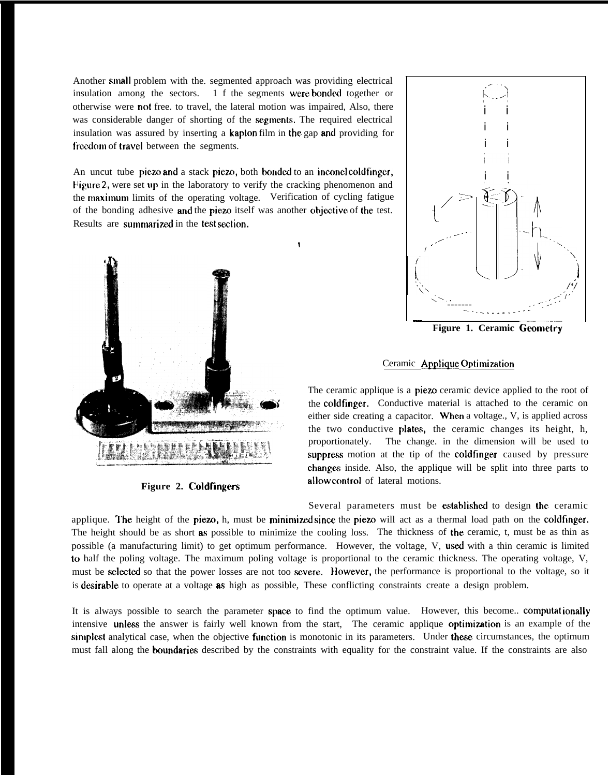Another small problem with the. segmented approach was providing electrical insulation among the sectors. 1 f the segments were bonded together or otherwise were not free. to travel, the lateral motion was impaired, Also, there was considerable danger of shorting of the segments. The required electrical insulation was assured by inserting a kapton film in the gap and providing for freedom of travel between the segments.

An uncut tube piezo and a stack piezo, both bonded to an inconel coldfinger, Figure 2, were set up in the laboratory to verify the cracking phenomenon and the maximum limits of the operating voltage. Verification of cycling fatigue of the bonding adhesive and the piezo itself was another objective of the test. Results are summarized in the test section.



**Figure 2. Coldfingers**



**Figure 1. Ceramic Geometry** 

# Ceramic **Applique Optimization**

The ceramic applique is a **piezo** ceramic device applied to the root of the coldfinger. Conductive material is attached to the ceramic on either side creating a capacitor. When a voltage., V, is applied across the two conductive plates, the ceramic changes its height, h, proportionately. The change. in the dimension will be used to suppress motion at the tip of the coldfinger caused by pressure changes inside. Also, the applique will be split into three parts to allow control of lateral motions.

Several parameters must be established to design the ceramic applique. The height of the piezo, h, must be minimized since the piezo will act as a thermal load path on the coldfinger. The height should be as short as possible to minimize the cooling loss. The thickness of the ceramic, t, must be as thin as possible (a manufacturing limit) to get optimum performance. However, the voltage, V, used with a thin ceramic is limited to half the poling voltage. The maximum poling voltage is proportional to the ceramic thickness. The operating voltage, V, must be selected so that the power losses are not too severe. However, the performance is proportional to the voltage, so it is desirable to operate at a voltage as high as possible, These conflicting constraints create a design problem.

It is always possible to search the parameter space to find the optimum value. However, this become.. computationally intensive unless the answer is fairly well known from the start, The ceramic applique optimization is an example of the simplest analytical case, when the objective function is monotonic in its parameters. Under these circumstances, the optimum must fall along the **boundaries** described by the constraints with equality for the constraint value. If the constraints are also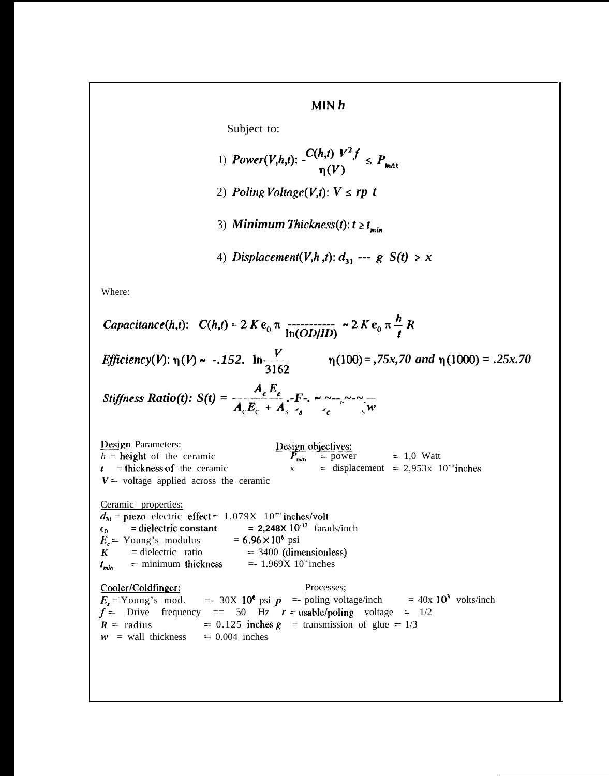$MIN h$ 

Subject to:

\n- 1) 
$$
Power(V, h, t)
$$
:  $\frac{C(h, t)}{n(V)} \leq P_{\text{max}}$
\n- 2)  $P_{\text{old}}(V, t)$ :  $V \leq r p t$
\n- 3) *Minimum Thickness(t)*:  $t \geq t_{\text{min}}$
\n

4) Displacement(V,h,t):  $d_{31}$  ---  $g S(t) > x$ 

Where:

Capacitance(h,t):  $C(h,t) = 2 K \epsilon_0 \pi \frac{1}{\ln(OD/ID)} \approx 2 K \epsilon_0 \pi \frac{h}{t} R$ *Efficiency*(V):  $\eta(V) \sim -.152$ .  $\ln \frac{V}{3162}$   $\eta(100) = .75x,70$  and  $\eta(1000) = .25x.70$ Stiffness Ratio(t):  $S(t) = \frac{A_c E_c}{A_c E_c + A_s} - F$ .  $\sim \sim -\sim \sim \sqrt{w}$ Design objectives:<br>  $P_{\text{max}} =$  power = 1,0 Watt<br>
x = displacement = 2,953x 10<sup>5</sup> inches Design Parameters:  $h =$  height of the ceramic  $t$  = thickness of the ceramic  $V =$  voltage applied across the ceramic Ceramic properties:  $d_{31}$  = piezo electric effect = 1.079X 10" inches/volt = dielectric constant =  $2,248X$  10<sup>-13</sup> farads/inch  $\epsilon_0$  $= 6.96 \times 10^6$  psi  $E_c$  = Young's modulus = dielectric ratio =  $3400$  (dimensionless)<br>= minimum thickness =  $1.969X$  10<sup>2</sup> inches  $\boldsymbol{K}$  $t_{\rm min}$ Cooler/Coldfinger: Processes:  $E_s$  = Young's mod. = 30X 10<sup>6</sup> psi  $p$  = poling voltage/inch = 40x 10<sup>3</sup> volts/inch<br> $f =$  Drive frequency = 50 Hz  $r =$  usable/poling voltage = 1/2  $R =$  radius = 0.125 inches  $g$  = transmission of glue = 1/3<br>  $w$  = wall thickness = 0.004 inches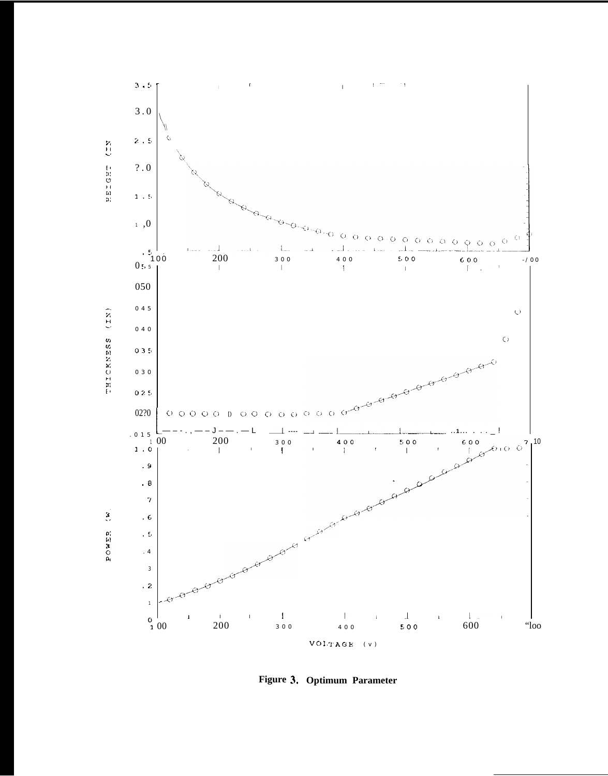

Figure 3. Optimum Parameter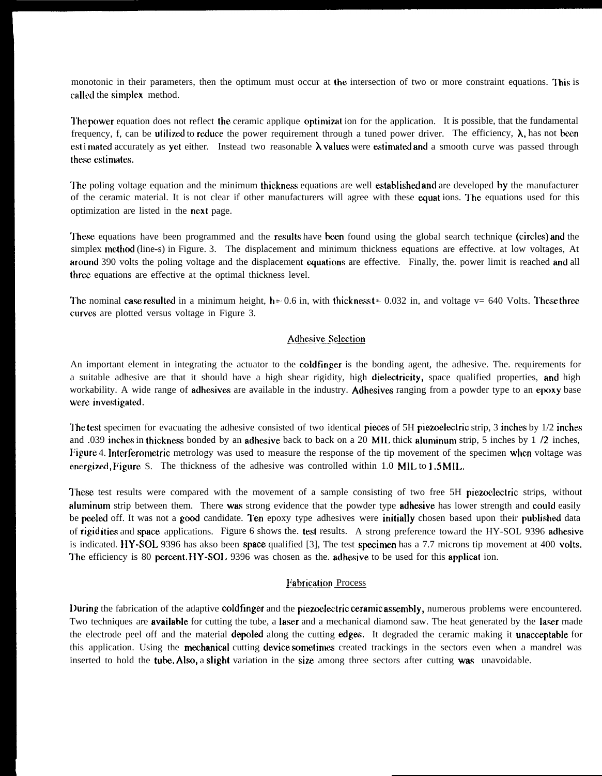monotonic in their parameters, then the optimum must occur at the intersection of two or more constraint equations. This is called the simplex method.

The power equation does not reflect the ceramic applique optimizat ion for the application. It is possible, that the fundamental frequency, f, can be utilized to reduce the power requirement through a tuned power driver. The efficiency,  $\lambda$ , has not been est i mated accurately as yet either. Instead two reasonable  $\lambda$  values were estimated and a smooth curve was passed through these estimates.

The poling voltage equation and the minimum thickness equations are well established and are developed by the manufacturer of the ceramic material. It is not clear if other manufacturers will agree with these quat ions. I'he equations used for this optimization are listed in the next page.

These equations have been programmed and the results have been found using the global search technique (circles) and the simplex method (line-s) in Figure. 3. The displacement and minimum thickness equations are effective. at low voltages, At around 390 volts the poling voltage and the displacement equations are effective. Finally, the. power limit is reached and all three equations are effective at the optimal thickness level.

The nominal case resulted in a minimum height,  $h = 0.6$  in, with thickness  $t = 0.032$  in, and voltage  $v = 640$  Volts. These three curves are plotted versus voltage in Figure 3.

# **Adhesive Selection**

An important element in integrating the actuator to the coldfinger is the bonding agent, the adhesive. The. requirements for a suitable adhesive are that it should have a high shear rigidity, high dielectricity, space qualified properties, and high workability. A wide range of adhesives are available in the industry. Adhesives ranging from a powder type to an epoxy base were investigated.

The test specimen for evacuating the adhesive consisted of two identical pieces of 5H piezoelectric strip, 3 inches by  $1/2$  inches and .039 inches in thickness bonded by an adhesive back to back on a 20 MIL thick aluminum strip, 5 inches by 1  $/2$  inches, Figure 4. Interferometric metrology was used to measure the response of the tip movement of the specimen when voltage was energized, Figure S. The thickness of the adhesive was controlled within 1.0 MIL to  $1.5$  MIL.

I'hese test results were compared with the movement of a sample consisting of two free 5H piezoelectric strips, without aluminum strip between them. There was strong evidence that the powder type adhesive has lower strength and could easily be peeled off. It was not a good candidate. Ten epoxy type adhesives were initially chosen based upon their published data of rigidities and space applications. Figure 6 shows the. test results. A strong preference toward the HY-SOL 9396 adhesive is indicated. HY-SOL 9396 has akso been space qualified [3], The test specimen has a 7.7 microns tip movement at 400 volts. The efficiency is 80 percent. IIY-SOL 9396 was chosen as the. adhesive to be used for this applicat ion.

### ~abrication Process

During the fabrication of the adaptive coldfinger and the piezoelectric ceramic assembly, numerous problems were encountered. Two techniques are **available** for cutting the tube, a laser and a mechanical diamond saw. The heat generated by the laser made the electrode peel off and the material **depoled** along the cutting **edges.** It degraded the ceramic making it unacceptable for this application. Using the **mechanical** cutting device sometimes created trackings in the sectors even when a mandrel was inserted to hold the tube. Also, a slight variation in the size among three sectors after cutting was unavoidable.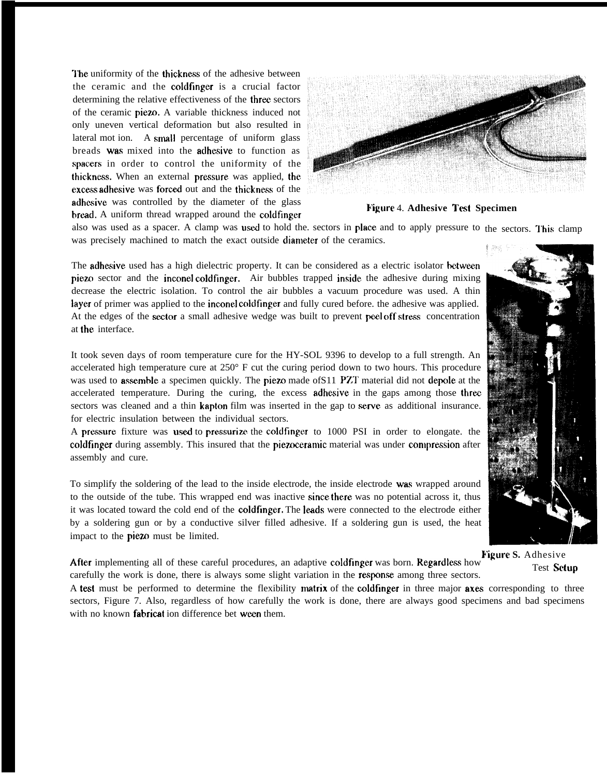The uniformity of the thickness of the adhesive between the ceramic and the coldfinger is a crucial factor determining the relative effectiveness of the three sectors of the ceramic piezo. A variable thickness induced not only uneven vertical deformation but also resulted in lateral mot ion. A small percentage of uniform glass breads was mixed into the adhesive to function as spacers in order to control the uniformity of the thickness. When an external pressure was applied, the excess adhesive was forced out and the thickness of the adhesive was controlled by the diameter of the glass Figure 4. Adhesive Test Specimen bread. A uniform thread wrapped around the coldfinger



also was used as a spacer. A clamp was used to hold the. sectors in place and to apply pressure to the sectors. This clamp was precisely machined to match the exact outside diameter of the ceramics.

The adhesive used has a high dielectric property. It can be considered as a electric isolator between piezo sector and the inconel coldfinger. Air bubbles trapped inside the adhesive during mixing decrease the electric isolation. To control the air bubbles a vacuum procedure was used. A thin layer of primer was applied to the inconel coldfinger and fully cured before. the adhesive was applied. At the edges of the sector a small adhesive wedge was built to prevent peel off stress concentration at the interface.

It took seven days of room temperature cure for the HY-SOL 9396 to develop to a full strength. An accelerated high temperature cure at 250° F cut the curing period down to two hours. This procedure was used to **assemble** a specimen quickly. The **piezo** made of S11 PZT material did not **depole** at the accelerated temperature. During the curing, the excess adhesive in the gaps among those three sectors was cleaned and a thin kapton film was inserted in the gap to serve as additional insurance. for electric insulation between the individual sectors.

A pressure fixture was used to pressurize the coldfinger to 1000 PSI in order to elongate. the coldfinger during assembly. This insured that the piezoceramic material was under compression after assembly and cure.

To simplify the soldering of the lead to the inside electrode, the inside electrode was wrapped around to the outside of the tube. This wrapped end was inactive since there was no potential across it, thus it was located toward the cold end of the coldfinger. The leads were connected to the electrode either by a soldering gun or by a conductive silver filled adhesive. If a soldering gun is used, the heat impact to the piezo must be limited.



**Figure S.** Adhesive

After implementing all of these careful procedures, an adaptive coldfinger was born. Regardless how Test Setup carefully the work is done, there is always some slight variation in the response among three sectors.

A test must be performed to determine the flexibility matrix of the coldfinger in three major axes corresponding to three sectors, Figure 7. Also, regardless of how carefully the work is done, there are always good specimens and bad specimens with no known fabricat ion difference bet ween them.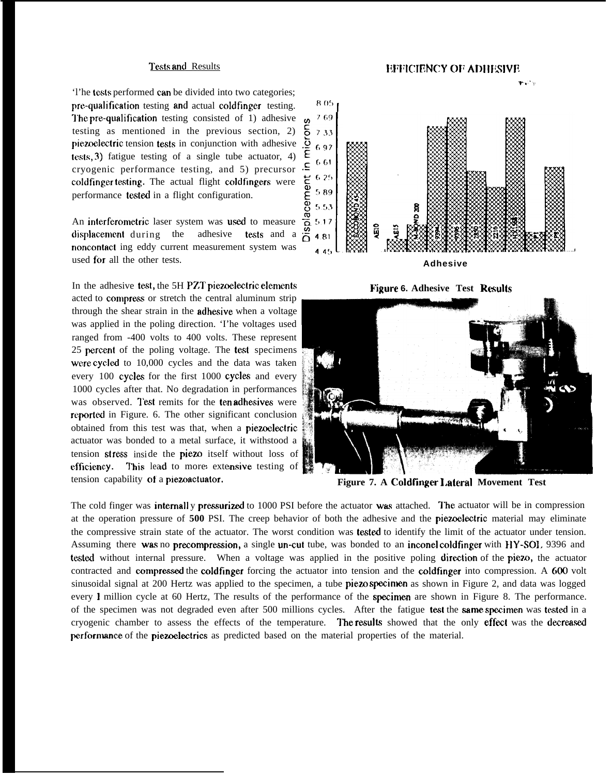# Tests and Results

'l'he tests performed can be divided into two categories; pre-qualification testing and actual coldfinger testing. I'he pre-qualification testing consisted of 1) adhesive testing as mentioned in the previous section, 2) piezoelectric tension tests in conjunction with adhesive tests, 3) fatigue testing of a single tube actuator, 4) cryogenic performance testing, and 5) precursor coldfinger testing. The actual flight coldfingers were performance tested in a flight configuration.

An interferometric laser system was used to measure displacement during the adhesive tests and a noncontact ing eddy current measurement system was used for all the other tests.

In the adhesive test, the 5H PZT piezoelectric elements acted to compress or stretch the central aluminum strip through the shear strain in the *adhesive* when a voltage was applied in the poling direction. 'I'he voltages used ranged from -400 volts to 400 volts. These represent 25 percent of the poling voltage. The test specimens were cycled to  $10,000$  cycles and the data was taken every 100 cycles for the first 1000 cycles and every 1000 cycles after that. No degradation in performances was observed. Test remits for the ten adhesives were reported in Figure. 6. The other significant conclusion obtained from this test was that, when a piezoelectric actuator was bonded to a metal surface, it withstood a tension stress inside the piezo itself without loss of efficiency. This lead to more extensive testing of tension capability of a piezoactuator. **Figure 7. A Coldfinger Lateral Movement Test** 

# **LEFFICIENCY OF ADHESIVE**

**-f-.':'**



**Figure 6. Adhesive Test Rewlts**



The cold finger was **internall**y **pressurized** to 1000 PSI before the actuator was attached. The actuator will be in compression at the operation pressure of 500 PSI. The creep behavior of both the adhesive and the piezoelectric material may eliminate the compressive strain state of the actuator. The worst condition was tested to identify the limit of the actuator under tension. Assuming there was no precompression, a single un-cut tube, was bonded to an inconel coldfinger with HY-SOI, 9396 and tested without internal pressure. When a voltage was applied in the positive poling direction of the piezo, the actuator contracted and compressed the coldfinger forcing the actuator into tension and the coldfinger into compression. A  $600$  volt sinusoidal signal at 200 Hertz was applied to the specimen, a tube piezo specimen as shown in Figure 2, and data was logged every 1 million cycle at 60 Hertz, The results of the performance of the specimen are shown in Figure 8. The performance. of the specimen was not degraded even after 500 millions cycles. After the fatigue test the same specimen was tested in a cryogenic chamber to assess the effects of the temperature. The results showed that the only effect was the decreased performance of the piezoelectrics as predicted based on the material properties of the material.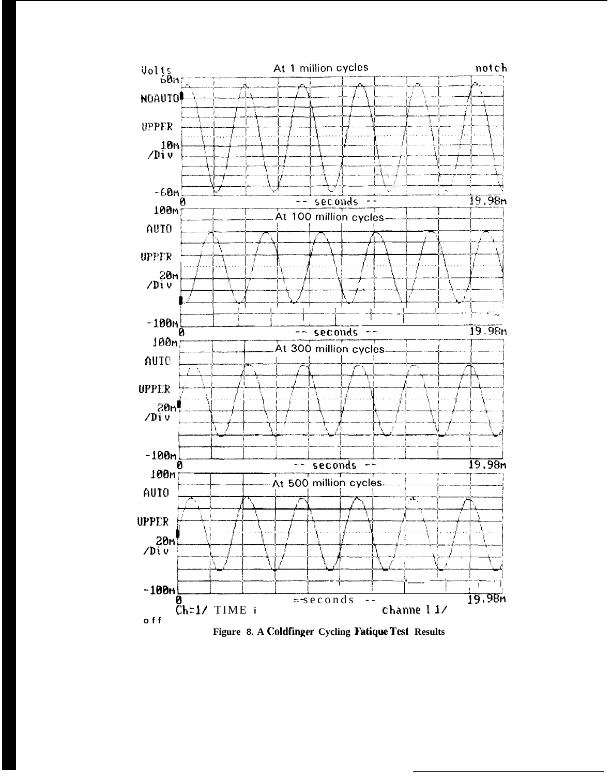

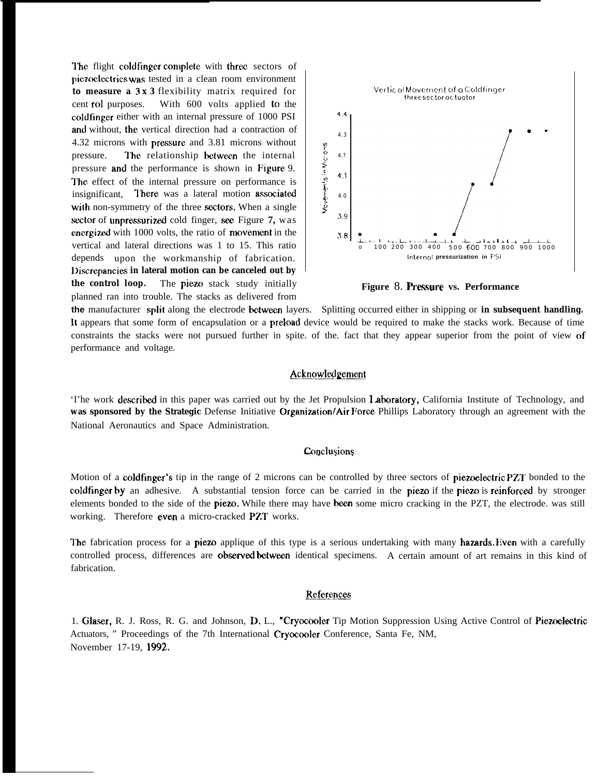The flight coldfinger complete with three sectors of piezoelectrics was tested in a clean room environment to measure a 3 x 3 flexibility matrix required for cent rol purposes. With 600 volts applied to the coldfinger either with an internal pressure of 1000 PSI and without, the vertical direction had a contraction of 4.32 microns with pressure and 3.81 microns without pressure. The relationship between the internal pressure and the performance is shown in Figure 9. The effect of the internal pressure on performance is insignificant. There was a lateral motion associated with non-symmetry of the three sectors. When a single sector of unpressurized cold finger, see Figure 7, was energized with 1000 volts, the ratio of movement in the vertical and lateral directions was 1 to 15. This ratio depends upon the workmanship of fabrication. Discrepancies in lateral motion can be canceled out by the control loop. The piezo stack study initially planned ran into trouble. The stacks as delivered from



Figure 8. Pressure vs. Performance

the manufacturer split along the electrode between layers. Splitting occurred either in shipping or in subsequent handling. It appears that some form of encapsulation or a preload device would be required to make the stacks work. Because of time constraints the stacks were not pursued further in spite. of the fact that they appear superior from the point of view of performance and voltage.

## Acknowledgement

The work described in this paper was carried out by the Jet Propulsion Laboratory, California Institute of Technology, and was sponsored by the Strategic Defense Initiative Organization/Air Force Phillips Laboratory through an agreement with the National Aeronautics and Space Administration.

### Conclusions

Motion of a coldfinger's tip in the range of 2 microns can be controlled by three sectors of piezoelectric PZT bonded to the coldfinger by an adhesive. A substantial tension force can be carried in the piezo if the piezo is reinforced by stronger elements bonded to the side of the piezo. While there may have been some micro cracking in the PZT, the electrode. was still working. Therefore even a micro-cracked PZT works.

The fabrication process for a piezo applique of this type is a serious undertaking with many hazards. Even with a carefully controlled process, differences are **observed between** identical specimens. A certain amount of art remains in this kind of fabrication.

### References

1. Glaser, R. J. Ross, R. G. and Johnson, D. L., "Cryocooler Tip Motion Suppression Using Active Control of Piezoelectric Actuators, " Proceedings of the 7th International Cryocooler Conference, Santa Fe, NM, November 17-19, 1992.